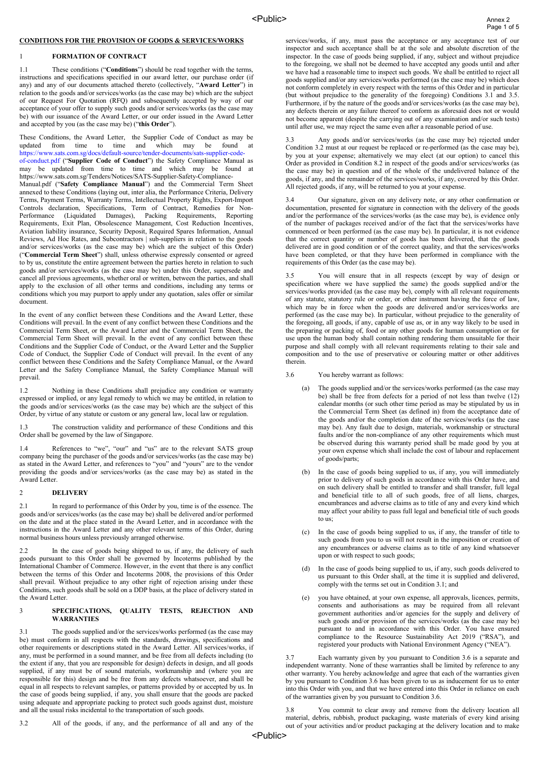## **CONDITIONS FOR THE PROVISION OF GOODS & SERVICES/WORKS**

## 1 **FORMATION OF CONTRACT**

1.1 These conditions ("**Conditions**") should be read together with the terms, instructions and specifications specified in our award letter, our purchase order (if any) and any of our documents attached thereto (collectively, "**Award Letter**") in relation to the goods and/or services/works (as the case may be) which are the subject of our Request For Quotation (RFQ) and subsequently accepted by way of our acceptance of your offer to supply such goods and/or services/works (as the case may be) with our issuance of the Award Letter, or our order issued in the Award Letter and accepted by you (as the case may be) ("**this Order**").

These Conditions, the Award Letter, the Supplier Code of Conduct as may be updated from time to time and which may be found at [https://www.sats.com.sg/docs/default-source/tender-documents/sats-supplier-code](https://www.sats.com.sg/docs/default-source/tender-documents/sats-supplier-code-of-conduct.pdf)[of-conduct.pdf](https://www.sats.com.sg/docs/default-source/tender-documents/sats-supplier-code-of-conduct.pdf) ("**Supplier Code of Conduct**") the Safety Compliance Manual as

may be updated from time to time and which may be found at https://www.sats.com.sg/Tenders/Notices/SATS-Supplier-Safety-Compliance-

Manual.pdf ("**Safety Compliance Manual**") and the Commercial Term Sheet annexed to these Conditions (laying out, inter alia, the Performance Criteria, Delivery Terms, Payment Terms, Warranty Terms, Intellectual Property Rights, Export-Import Controls declaration, Specifications, Term of Contract, Remedies for Non-Performance (Liquidated Damages), Packing Requirements, Reporting Requirements, Exit Plan, Obsolescence Management, Cost Reduction Incentives, Aviation liability insurance, Security Deposit, Required Spares Information, Annual Reviews, Ad Hoc Rates, and Subcontractors | sub-suppliers in relation to the goods and/or services/works (as the case may be) which are the subject of this Order) ("**Commercial Term Sheet**") shall, unless otherwise expressly consented or agreed to by us, constitute the entire agreement between the parties hereto in relation to such goods and/or services/works (as the case may be) under this Order, supersede and cancel all previous agreements, whether oral or written, between the parties, and shall apply to the exclusion of all other terms and conditions, including any terms or conditions which you may purport to apply under any quotation, sales offer or similar document.

In the event of any conflict between these Conditions and the Award Letter, these Conditions will prevail. In the event of any conflict between these Conditions and the Commercial Term Sheet, or the Award Letter and the Commercial Term Sheet, the Commercial Term Sheet will prevail. In the event of any conflict between these Conditions and the Supplier Code of Conduct, or the Award Letter and the Supplier Code of Conduct, the Supplier Code of Conduct will prevail. In the event of any conflict between these Conditions and the Safety Compliance Manual, or the Award Letter and the Safety Compliance Manual, the Safety Compliance Manual will prevail.

1.2 Nothing in these Conditions shall prejudice any condition or warranty expressed or implied, or any legal remedy to which we may be entitled, in relation to the goods and/or services/works (as the case may be) which are the subject of this Order, by virtue of any statute or custom or any general law, local law or regulation.

The construction validity and performance of these Conditions and this Order shall be governed by the law of Singapore.

1.4 References to "we", "our" and "us" are to the relevant SATS group company being the purchaser of the goods and/or services/works (as the case may be) as stated in the Award Letter, and references to "you" and "yours" are to the vendor providing the goods and/or services/works (as the case may be) as stated in the Award Letter.

#### 2 **DELIVERY**

2.1 In regard to performance of this Order by you, time is of the essence. The goods and/or services/works (as the case may be) shall be delivered and/or performed on the date and at the place stated in the Award Letter, and in accordance with the instructions in the Award Letter and any other relevant terms of this Order, during normal business hours unless previously arranged otherwise.

2.2 In the case of goods being shipped to us, if any, the delivery of such goods pursuant to this Order shall be governed by Incoterms published by the International Chamber of Commerce. However, in the event that there is any conflict between the terms of this Order and Incoterms 2008, the provisions of this Order shall prevail. Without prejudice to any other right of rejection arising under these Conditions, such goods shall be sold on a DDP basis, at the place of delivery stated in the Award Letter.

#### 3 **SPECIFICATIONS, QUALITY TESTS, REJECTION AND WARRANTIES**

3.1 The goods supplied and/or the services/works performed (as the case may be) must conform in all respects with the standards, drawings, specifications and other requirements or descriptions stated in the Award Letter. All services/works, if any, must be performed in a sound manner, and be free from all defects including (to the extent if any, that you are responsible for design) defects in design, and all goods supplied, if any must be of sound materials, workmanship and (where you are responsible for this) design and be free from any defects whatsoever, and shall be equal in all respects to relevant samples, or patterns provided by or accepted by us. In the case of goods being supplied, if any, you shall ensure that the goods are packed using adequate and appropriate packing to protect such goods against dust, moisture and all the usual risks incidental to the transportation of such goods.

3.2 All of the goods, if any, and the performance of all and any of the

services/works, if any, must pass the acceptance or any acceptance test of our inspector and such acceptance shall be at the sole and absolute discretion of the inspector. In the case of goods being supplied, if any, subject and without prejudice to the foregoing, we shall not be deemed to have accepted any goods until and after we have had a reasonable time to inspect such goods. We shall be entitled to reject all goods supplied and/or any services/works performed (as the case may be) which does not conform completely in every respect with the terms of this Order and in particular (but without prejudice to the generality of the foregoing) Conditions 3.1 and 3.5. Furthermore, if by the nature of the goods and/or services/works (as the case may be), any defects therein or any failure thereof to conform as aforesaid does not or would not become apparent (despite the carrying out of any examination and/or such tests) until after use, we may reject the same even after a reasonable period of use.

Any goods and/or services/works (as the case may be) rejected under Condition 3.2 must at our request be replaced or re-performed (as the case may be), by you at your expense; alternatively we may elect (at our option) to cancel this Order as provided in Condition 8.2 in respect of the goods and/or services/works (as the case may be) in question and of the whole of the undelivered balance of the goods, if any, and the remainder of the services/works, if any, covered by this Order. All rejected goods, if any, will be returned to you at your expense.

3.4 Our signature, given on any delivery note, or any other confirmation or documentation, presented for signature in connection with the delivery of the goods and/or the performance of the services/works (as the case may be), is evidence only of the number of packages received and/or of the fact that the services/works have commenced or been performed (as the case may be). In particular, it is not evidence that the correct quantity or number of goods has been delivered, that the goods delivered are in good condition or of the correct quality, and that the services/works have been completed, or that they have been performed in compliance with the requirements of this Order (as the case may be).

3.5 You will ensure that in all respects (except by way of design or specification where we have supplied the same) the goods supplied and/or the services/works provided (as the case may be), comply with all relevant requirements of any statute, statutory rule or order, or other instrument having the force of law, which may be in force when the goods are delivered and/or services/works are performed (as the case may be). In particular, without prejudice to the generality of the foregoing, all goods, if any, capable of use as, or in any way likely to be used in the preparing or packing of, food or any other goods for human consumption or for use upon the human body shall contain nothing rendering them unsuitable for their purpose and shall comply with all relevant requirements relating to their sale and composition and to the use of preservative or colouring matter or other additives therein.

3.6 You hereby warrant as follows:

- (a) The goods supplied and/or the services/works performed (as the case may be) shall be free from defects for a period of not less than twelve (12) calendar months (or such other time period as may be stipulated by us in the Commercial Term Sheet (as defined in) from the acceptance date of the goods and/or the completion date of the services/works (as the case may be). Any fault due to design, materials, workmanship or structural faults and/or the non-compliance of any other requirements which must be observed during this warranty period shall be made good by you at your own expense which shall include the cost of labour and replacement of goods/parts;
- (b) In the case of goods being supplied to us, if any, you will immediately prior to delivery of such goods in accordance with this Order have, and on such delivery shall be entitled to transfer and shall transfer, full legal and beneficial title to all of such goods, free of all liens, charges, encumbrances and adverse claims as to title of any and every kind which may affect your ability to pass full legal and beneficial title of such goods to us;
- (c) In the case of goods being supplied to us, if any, the transfer of title to such goods from you to us will not result in the imposition or creation of any encumbrances or adverse claims as to title of any kind whatsoever upon or with respect to such goods;
- (d) In the case of goods being supplied to us, if any, such goods delivered to us pursuant to this Order shall, at the time it is supplied and delivered, comply with the terms set out in Condition 3.1; and
- you have obtained, at your own expense, all approvals, licences, permits, consents and authorisations as may be required from all relevant government authorities and/or agencies for the supply and delivery of such goods and/or provision of the services/works (as the case may be) pursuant to and in accordance with this Order. You have ensured compliance to the Resource Sustainability Act 2019 ("RSA"), and registered your products with National Environment Agency ("NEA").

3.7 Each warranty given by you pursuant to Condition 3.6 is a separate and independent warranty. None of these warranties shall be limited by reference to any other warranty. You hereby acknowledge and agree that each of the warranties given by you pursuant to Condition 3.6 has been given to us as inducement for us to enter into this Order with you, and that we have entered into this Order in reliance on each of the warranties given by you pursuant to Condition 3.6.

You commit to clear away and remove from the delivery location all material, debris, rubbish, product packaging, waste materials of every kind arising out of your activities and/or product packaging at the delivery location and to make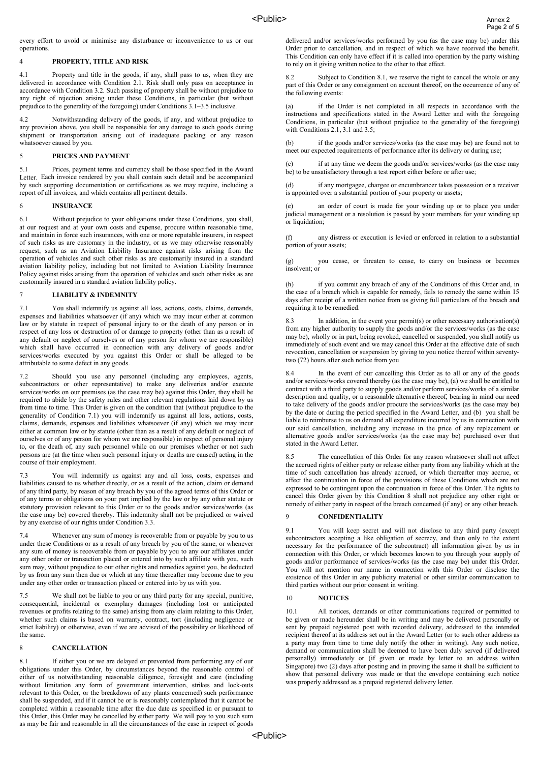every effort to avoid or minimise any disturbance or inconvenience to us or our operations.

#### 4 **PROPERTY, TITLE AND RISK**

4.1 Property and title in the goods, if any, shall pass to us, when they are delivered in accordance with Condition 2.1. Risk shall only pass on acceptance in accordance with Condition 3.2. Such passing of property shall be without prejudice to any right of rejection arising under these Conditions, in particular (but without prejudice to the generality of the foregoing) under Conditions 3.1–3.5 inclusive.

4.2 Notwithstanding delivery of the goods, if any, and without prejudice to any provision above, you shall be responsible for any damage to such goods during shipment or transportation arising out of inadequate packing or any reason whatsoever caused by you.

#### 5 **PRICES AND PAYMENT**

5.1 Prices, payment terms and currency shall be those specified in the Award Letter. Each invoice rendered by you shall contain such detail and be accompanied by such supporting documentation or certifications as we may require, including a report of all invoices, and which contains all pertinent details.

### 6 **INSURANCE**

6.1 Without prejudice to your obligations under these Conditions, you shall, at our request and at your own costs and expense, procure within reasonable time, and maintain in force such insurances, with one or more reputable insurers, in respect of such risks as are customary in the industry, or as we may otherwise reasonably request, such as an Aviation Liability Insurance against risks arising from the operation of vehicles and such other risks as are customarily insured in a standard aviation liability policy, including but not limited to Aviation Liability Insurance Policy against risks arising from the operation of vehicles and such other risks as are customarily insured in a standard aviation liability policy.

## 7 **LIABILITY & INDEMNITY**

7.1 You shall indemnify us against all loss, actions, costs, claims, demands, expenses and liabilities whatsoever (if any) which we may incur either at common law or by statute in respect of personal injury to or the death of any person or in respect of any loss or destruction of or damage to property (other than as a result of any default or neglect of ourselves or of any person for whom we are responsible) which shall have occurred in connection with any delivery of goods and/or services/works executed by you against this Order or shall be alleged to be attributable to some defect in any goods.

7.2 Should you use any personnel (including any employees, agents, subcontractors or other representative) to make any deliveries and/or execute services/works on our premises (as the case may be) against this Order, they shall be required to abide by the safety rules and other relevant regulations laid down by us from time to time. This Order is given on the condition that (without prejudice to the generality of Condition 7.1) you will indemnify us against all loss, actions, costs, claims, demands, expenses and liabilities whatsoever (if any) which we may incur either at common law or by statute (other than as a result of any default or neglect of ourselves or of any person for whom we are responsible) in respect of personal injury to, or the death of, any such personnel while on our premises whether or not such persons are (at the time when such personal injury or deaths are caused) acting in the course of their employment.

7.3 You will indemnify us against any and all loss, costs, expenses and liabilities caused to us whether directly, or as a result of the action, claim or demand of any third party, by reason of any breach by you of the agreed terms of this Order or of any terms or obligations on your part implied by the law or by any other statute or statutory provision relevant to this Order or to the goods and/or services/works (as the case may be) covered thereby. This indemnity shall not be prejudiced or waived by any exercise of our rights under Condition 3.3.

7.4 Whenever any sum of money is recoverable from or payable by you to us under these Conditions or as a result of any breach by you of the same, or whenever any sum of money is recoverable from or payable by you to any our affiliates under any other order or transaction placed or entered into by such affiliate with you, such sum may, without prejudice to our other rights and remedies against you, be deducted by us from any sum then due or which at any time thereafter may become due to you under any other order or transaction placed or entered into by us with you.

7.5 We shall not be liable to you or any third party for any special, punitive, consequential, incidental or exemplary damages (including lost or anticipated revenues or profits relating to the same) arising from any claim relating to this Order, whether such claims is based on warranty, contract, tort (including negligence or strict liability) or otherwise, even if we are advised of the possibility or likelihood of the same.

#### 8 **CANCELLATION**

8.1 If either you or we are delayed or prevented from performing any of our obligations under this Order, by circumstances beyond the reasonable control of either of us notwithstanding reasonable diligence, foresight and care (including without limitation any form of government intervention, strikes and lock-outs relevant to this Order, or the breakdown of any plants concerned) such performance shall be suspended, and if it cannot be or is reasonably contemplated that it cannot be completed within a reasonable time after the due date as specified in or pursuant to this Order, this Order may be cancelled by either party. We will pay to you such sum as may be fair and reasonable in all the circumstances of the case in respect of goods

delivered and/or services/works performed by you (as the case may be) under this Order prior to cancellation, and in respect of which we have received the benefit. This Condition can only have effect if it is called into operation by the party wishing to rely on it giving written notice to the other to that effect.

8.2 Subject to Condition 8.1, we reserve the right to cancel the whole or any part of this Order or any consignment on account thereof, on the occurrence of any of the following events:

if the Order is not completed in all respects in accordance with the instructions and specifications stated in the Award Letter and with the foregoing Conditions, in particular (but without prejudice to the generality of the foregoing) with Conditions 2.1, 3.1 and 3.5;

(b) if the goods and/or services/works (as the case may be) are found not to meet our expected requirements of performance after its delivery or during use;

(c) if at any time we deem the goods and/or services/works (as the case may be) to be unsatisfactory through a test report either before or after use;

(d) if any mortgagee, chargee or encumbrancer takes possession or a receiver is appointed over a substantial portion of your property or assets;

an order of court is made for your winding up or to place you under judicial management or a resolution is passed by your members for your winding up or liquidation:

(f) any distress or execution is levied or enforced in relation to a substantial portion of your assets:

(g) you cease, or threaten to cease, to carry on business or becomes insolvent; or

if you commit any breach of any of the Conditions of this Order and, in the case of a breach which is capable for remedy, fails to remedy the same within 15 days after receipt of a written notice from us giving full particulars of the breach and requiring it to be remedied.

8.3 In addition, in the event your permit(s) or other necessary authorisation(s) from any higher authority to supply the goods and/or the services/works (as the case may be), wholly or in part, being revoked, cancelled or suspended, you shall notify us immediately of such event and we may cancel this Order at the effective date of such revocation, cancellation or suspension by giving to you notice thereof within seventytwo (72) hours after such notice from you

8.4 In the event of our cancelling this Order as to all or any of the goods and/or services/works covered thereby (as the case may be), (a) we shall be entitled to contract with a third party to supply goods and/or perform services/works of a similar description and quality, or a reasonable alternative thereof, bearing in mind our need to take delivery of the goods and/or procure the services/works (as the case may be) by the date or during the period specified in the Award Letter, and (b) you shall be liable to reimburse to us on demand all expenditure incurred by us in connection with our said cancellation, including any increase in the price of any replacement or alternative goods and/or services/works (as the case may be) purchased over that stated in the Award Letter.

8.5 The cancellation of this Order for any reason whatsoever shall not affect the accrued rights of either party or release either party from any liability which at the time of such cancellation has already accrued, or which thereafter may accrue, or affect the continuation in force of the provisions of these Conditions which are not expressed to be contingent upon the continuation in force of this Order. The rights to cancel this Order given by this Condition 8 shall not prejudice any other right or remedy of either party in respect of the breach concerned (if any) or any other breach.

### 9 **CONFIDENTIALITY**

9.1 You will keep secret and will not disclose to any third party (except subcontractors accepting a like obligation of secrecy, and then only to the extent necessary for the performance of the subcontract) all information given by us in connection with this Order, or which becomes known to you through your supply of goods and/or performance of services/works (as the case may be) under this Order. You will not mention our name in connection with this Order or disclose the existence of this Order in any publicity material or other similar communication to third parties without our prior consent in writing.

#### 10 **NOTICES**

10.1 All notices, demands or other communications required or permitted to be given or made hereunder shall be in writing and may be delivered personally or sent by prepaid registered post with recorded delivery, addressed to the intended recipient thereof at its address set out in the Award Letter (or to such other address as a party may from time to time duly notify the other in writing). Any such notice, demand or communication shall be deemed to have been duly served (if delivered personally) immediately or (if given or made by letter to an address within Singapore) two (2) days after posting and in proving the same it shall be sufficient to show that personal delivery was made or that the envelope containing such notice was properly addressed as a prepaid registered delivery letter.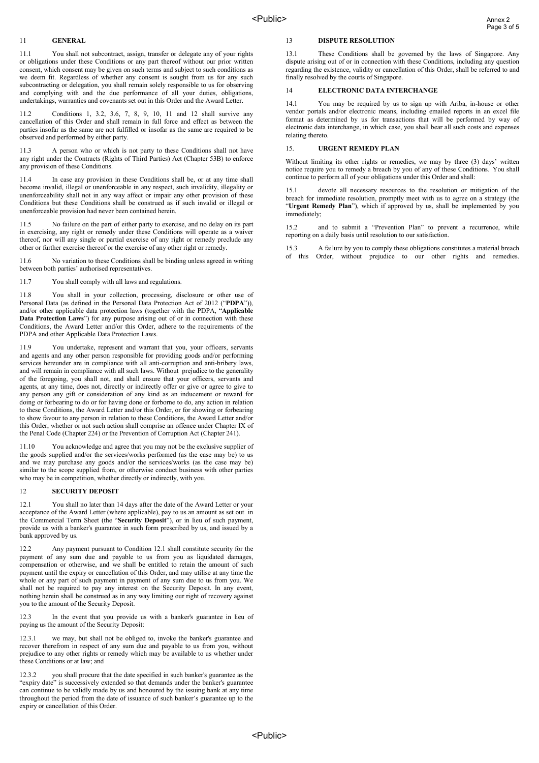### 11 **GENERAL**

11.1 You shall not subcontract, assign, transfer or delegate any of your rights or obligations under these Conditions or any part thereof without our prior written consent, which consent may be given on such terms and subject to such conditions as we deem fit. Regardless of whether any consent is sought from us for any such subcontracting or delegation, you shall remain solely responsible to us for observing and complying with and the due performance of all your duties, obligations, undertakings, warranties and covenants set out in this Order and the Award Letter.

11.2 Conditions 1, 3.2, 3.6, 7, 8, 9, 10, 11 and 12 shall survive any cancellation of this Order and shall remain in full force and effect as between the parties insofar as the same are not fulfilled or insofar as the same are required to be observed and performed by either party.

11.3 A person who or which is not party to these Conditions shall not have any right under the Contracts (Rights of Third Parties) Act (Chapter 53B) to enforce any provision of these Conditions.

11.4 In case any provision in these Conditions shall be, or at any time shall become invalid, illegal or unenforceable in any respect, such invalidity, illegality or unenforceability shall not in any way affect or impair any other provision of these Conditions but these Conditions shall be construed as if such invalid or illegal or unenforceable provision had never been contained herein.

11.5 No failure on the part of either party to exercise, and no delay on its part in exercising, any right or remedy under these Conditions will operate as a waiver thereof, nor will any single or partial exercise of any right or remedy preclude any other or further exercise thereof or the exercise of any other right or remedy.

11.6 No variation to these Conditions shall be binding unless agreed in writing between both parties' authorised representatives.

11.7 You shall comply with all laws and regulations.

11.8 You shall in your collection, processing, disclosure or other use of Personal Data (as defined in the Personal Data Protection Act of 2012 ("**PDPA**")), and/or other applicable data protection laws (together with the PDPA, "**Applicable Data Protection Laws**") for any purpose arising out of or in connection with these Conditions, the Award Letter and/or this Order, adhere to the requirements of the PDPA and other Applicable Data Protection Laws.

11.9 You undertake, represent and warrant that you, your officers, servants and agents and any other person responsible for providing goods and/or performing services hereunder are in compliance with all anti-corruption and anti-bribery laws, and will remain in compliance with all such laws. Without prejudice to the generality of the foregoing, you shall not, and shall ensure that your officers, servants and agents, at any time, does not, directly or indirectly offer or give or agree to give to any person any gift or consideration of any kind as an inducement or reward for doing or forbearing to do or for having done or forborne to do, any action in relation to these Conditions, the Award Letter and/or this Order, or for showing or forbearing to show favour to any person in relation to these Conditions, the Award Letter and/or this Order, whether or not such action shall comprise an offence under Chapter IX of the Penal Code (Chapter 224) or the Prevention of Corruption Act (Chapter 241).

11.10 You acknowledge and agree that you may not be the exclusive supplier of the goods supplied and/or the services/works performed (as the case may be) to us and we may purchase any goods and/or the services/works (as the case may be) similar to the scope supplied from, or otherwise conduct business with other parties who may be in competition, whether directly or indirectly, with you.

## 12 **SECURITY DEPOSIT**

12.1 You shall no later than 14 days after the date of the Award Letter or your acceptance of the Award Letter (where applicable), pay to us an amount as set out in the Commercial Term Sheet (the "**Security Deposit**"), or in lieu of such payment, provide us with a banker's guarantee in such form prescribed by us, and issued by a bank approved by us.

12.2 Any payment pursuant to Condition 12.1 shall constitute security for the payment of any sum due and payable to us from you as liquidated damages, compensation or otherwise, and we shall be entitled to retain the amount of such payment until the expiry or cancellation of this Order, and may utilise at any time the whole or any part of such payment in payment of any sum due to us from you. We shall not be required to pay any interest on the Security Deposit. In any event, nothing herein shall be construed as in any way limiting our right of recovery against you to the amount of the Security Deposit.

12.3 In the event that you provide us with a banker's guarantee in lieu of paying us the amount of the Security Deposit:

12.3.1 we may, but shall not be obliged to, invoke the banker's guarantee and recover therefrom in respect of any sum due and payable to us from you, without prejudice to any other rights or remedy which may be available to us whether under these Conditions or at law; and

12.3.2 you shall procure that the date specified in such banker's guarantee as the "expiry date" is successively extended so that demands under the banker's guarantee can continue to be validly made by us and honoured by the issuing bank at any time throughout the period from the date of issuance of such banker's guarantee up to the expiry or cancellation of this Order.

# 13 **DISPUTE RESOLUTION**

13.1 These Conditions shall be governed by the laws of Singapore. Any dispute arising out of or in connection with these Conditions, including any question regarding the existence, validity or cancellation of this Order, shall be referred to and finally resolved by the courts of Singapore.

## 14 **ELECTRONIC DATA INTERCHANGE**

14.1 You may be required by us to sign up with Ariba, in-house or other vendor portals and/or electronic means, including emailed reports in an excel file format as determined by us for transactions that will be performed by way of electronic data interchange, in which case, you shall bear all such costs and expenses relating thereto.

## 15. **URGENT REMEDY PLAN**

Without limiting its other rights or remedies, we may by three (3) days' written notice require you to remedy a breach by you of any of these Conditions. You shall continue to perform all of your obligations under this Order and shall:

devote all necessary resources to the resolution or mitigation of the breach for immediate resolution, promptly meet with us to agree on a strategy (the "**Urgent Remedy Plan**"), which if approved by us, shall be implemented by you immediately;

15.2 and to submit a "Prevention Plan" to prevent a recurrence, while reporting on a daily basis until resolution to our satisfaction.

15.3 A failure by you to comply these obligations constitutes a material breach of this Order, without prejudice to our other rights and remedies.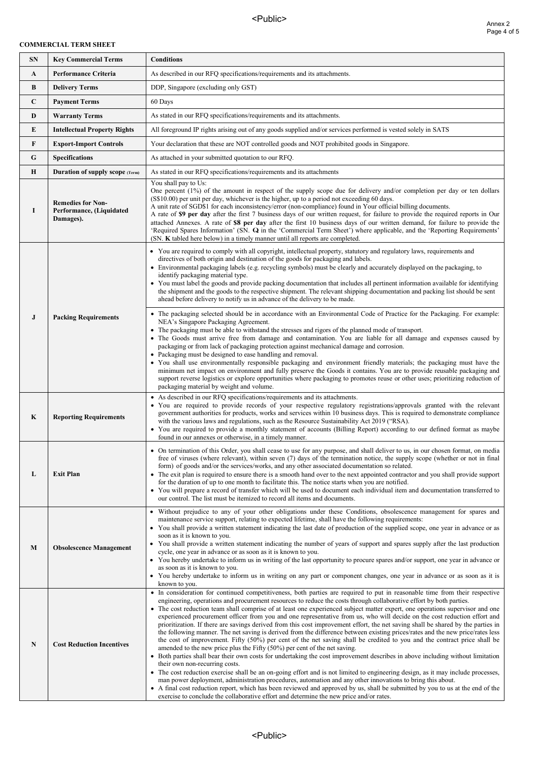## **COMMERCIAL TERM SHEET**

| <b>SN</b>   | <b>Key Commercial Terms</b>                                       | <b>Conditions</b>                                                                                                                                                                                                                                                                                                                                                                                                                                                                                                                                                                                                                                                                                                                                                                                                                                                                                                                                                                                                                                                                                                                                                                                                                                                                                                                                                                                                                                                                                                                                                                                                                                     |
|-------------|-------------------------------------------------------------------|-------------------------------------------------------------------------------------------------------------------------------------------------------------------------------------------------------------------------------------------------------------------------------------------------------------------------------------------------------------------------------------------------------------------------------------------------------------------------------------------------------------------------------------------------------------------------------------------------------------------------------------------------------------------------------------------------------------------------------------------------------------------------------------------------------------------------------------------------------------------------------------------------------------------------------------------------------------------------------------------------------------------------------------------------------------------------------------------------------------------------------------------------------------------------------------------------------------------------------------------------------------------------------------------------------------------------------------------------------------------------------------------------------------------------------------------------------------------------------------------------------------------------------------------------------------------------------------------------------------------------------------------------------|
| A           | <b>Performance Criteria</b>                                       | As described in our RFQ specifications/requirements and its attachments.                                                                                                                                                                                                                                                                                                                                                                                                                                                                                                                                                                                                                                                                                                                                                                                                                                                                                                                                                                                                                                                                                                                                                                                                                                                                                                                                                                                                                                                                                                                                                                              |
| B           | <b>Delivery Terms</b>                                             | DDP, Singapore (excluding only GST)                                                                                                                                                                                                                                                                                                                                                                                                                                                                                                                                                                                                                                                                                                                                                                                                                                                                                                                                                                                                                                                                                                                                                                                                                                                                                                                                                                                                                                                                                                                                                                                                                   |
| $\mathbf C$ | <b>Payment Terms</b>                                              | 60 Days                                                                                                                                                                                                                                                                                                                                                                                                                                                                                                                                                                                                                                                                                                                                                                                                                                                                                                                                                                                                                                                                                                                                                                                                                                                                                                                                                                                                                                                                                                                                                                                                                                               |
| D           | <b>Warranty Terms</b>                                             | As stated in our RFQ specifications/requirements and its attachments.                                                                                                                                                                                                                                                                                                                                                                                                                                                                                                                                                                                                                                                                                                                                                                                                                                                                                                                                                                                                                                                                                                                                                                                                                                                                                                                                                                                                                                                                                                                                                                                 |
| E           | <b>Intellectual Property Rights</b>                               | All foreground IP rights arising out of any goods supplied and/or services performed is vested solely in SATS                                                                                                                                                                                                                                                                                                                                                                                                                                                                                                                                                                                                                                                                                                                                                                                                                                                                                                                                                                                                                                                                                                                                                                                                                                                                                                                                                                                                                                                                                                                                         |
| F           | <b>Export-Import Controls</b>                                     | Your declaration that these are NOT controlled goods and NOT prohibited goods in Singapore.                                                                                                                                                                                                                                                                                                                                                                                                                                                                                                                                                                                                                                                                                                                                                                                                                                                                                                                                                                                                                                                                                                                                                                                                                                                                                                                                                                                                                                                                                                                                                           |
| ${\bf G}$   | <b>Specifications</b>                                             | As attached in your submitted quotation to our RFQ.                                                                                                                                                                                                                                                                                                                                                                                                                                                                                                                                                                                                                                                                                                                                                                                                                                                                                                                                                                                                                                                                                                                                                                                                                                                                                                                                                                                                                                                                                                                                                                                                   |
| $\bf H$     | <b>Duration of supply scope (Term)</b>                            | As stated in our RFQ specifications/requirements and its attachments                                                                                                                                                                                                                                                                                                                                                                                                                                                                                                                                                                                                                                                                                                                                                                                                                                                                                                                                                                                                                                                                                                                                                                                                                                                                                                                                                                                                                                                                                                                                                                                  |
| I           | <b>Remedies for Non-</b><br>Performance, (Liquidated<br>Damages). | You shall pay to Us:<br>One percent (1%) of the amount in respect of the supply scope due for delivery and/or completion per day or ten dollars<br>(S\$10.00) per unit per day, whichever is the higher, up to a period not exceeding 60 days.<br>A unit rate of SGD\$1 for each inconsistency/error (non-compliance) found in Your official billing documents.<br>A rate of \$9 per day after the first 7 business days of our written request, for failure to provide the required reports in Our<br>attached Annexes. A rate of \$8 per day after the first 10 business days of our written demand, for failure to provide the<br>'Required Spares Information' (SN. Q in the 'Commercial Term Sheet') where applicable, and the 'Reporting Requirements'<br>(SN. K tabled here below) in a timely manner until all reports are completed.                                                                                                                                                                                                                                                                                                                                                                                                                                                                                                                                                                                                                                                                                                                                                                                                         |
|             |                                                                   | • You are required to comply with all copyright, intellectual property, statutory and regulatory laws, requirements and<br>directives of both origin and destination of the goods for packaging and labels.<br>• Environmental packaging labels (e.g. recycling symbols) must be clearly and accurately displayed on the packaging, to<br>identify packaging material type.<br>• You must label the goods and provide packing documentation that includes all pertinent information available for identifying<br>the shipment and the goods to the respective shipment. The relevant shipping documentation and packing list should be sent<br>ahead before delivery to notify us in advance of the delivery to be made.                                                                                                                                                                                                                                                                                                                                                                                                                                                                                                                                                                                                                                                                                                                                                                                                                                                                                                                              |
| $\bf J$     | <b>Packing Requirements</b>                                       | • The packaging selected should be in accordance with an Environmental Code of Practice for the Packaging. For example:<br>NEA's Singapore Packaging Agreement.<br>• The packaging must be able to withstand the stresses and rigors of the planned mode of transport.<br>• The Goods must arrive free from damage and contamination. You are liable for all damage and expenses caused by<br>packaging or from lack of packaging protection against mechanical damage and corrosion.<br>• Packaging must be designed to ease handling and removal.<br>• You shall use environmentally responsible packaging and environment friendly materials; the packaging must have the<br>minimum net impact on environment and fully preserve the Goods it contains. You are to provide reusable packaging and<br>support reverse logistics or explore opportunities where packaging to promotes reuse or other uses; prioritizing reduction of<br>packaging material by weight and volume.                                                                                                                                                                                                                                                                                                                                                                                                                                                                                                                                                                                                                                                                    |
| K           | <b>Reporting Requirements</b>                                     | • As described in our RFQ specifications/requirements and its attachments.<br>• You are required to provide records of your respective regulatory registrations/approvals granted with the relevant<br>government authorities for products, works and services within 10 business days. This is required to demonstrate compliance<br>with the various laws and regulations, such as the Resource Sustainability Act 2019 ("RSA).<br>• You are required to provide a monthly statement of accounts (Billing Report) according to our defined format as maybe<br>found in our annexes or otherwise, in a timely manner.                                                                                                                                                                                                                                                                                                                                                                                                                                                                                                                                                                                                                                                                                                                                                                                                                                                                                                                                                                                                                                |
| L           | <b>Exit Plan</b>                                                  | • On termination of this Order, you shall cease to use for any purpose, and shall deliver to us, in our chosen format, on media<br>free of viruses (where relevant), within seven (7) days of the termination notice, the supply scope (whether or not in final<br>form) of goods and/or the services/works, and any other associated documentation so related.<br>• The exit plan is required to ensure there is a smooth hand over to the next appointed contractor and you shall provide support<br>for the duration of up to one month to facilitate this. The notice starts when you are notified.<br>• You will prepare a record of transfer which will be used to document each individual item and documentation transferred to<br>our control. The list must be itemized to record all items and documents.                                                                                                                                                                                                                                                                                                                                                                                                                                                                                                                                                                                                                                                                                                                                                                                                                                  |
| M           | <b>Obsolescence Management</b>                                    | • Without prejudice to any of your other obligations under these Conditions, obsolescence management for spares and<br>maintenance service support, relating to expected lifetime, shall have the following requirements:<br>• You shall provide a written statement indicating the last date of production of the supplied scope, one year in advance or as<br>soon as it is known to you.<br>• You shall provide a written statement indicating the number of years of support and spares supply after the last production<br>cycle, one year in advance or as soon as it is known to you.<br>• You hereby undertake to inform us in writing of the last opportunity to procure spares and/or support, one year in advance or<br>as soon as it is known to you.<br>• You hereby undertake to inform us in writing on any part or component changes, one year in advance or as soon as it is<br>known to you.                                                                                                                                                                                                                                                                                                                                                                                                                                                                                                                                                                                                                                                                                                                                        |
| $\mathbf N$ | <b>Cost Reduction Incentives</b>                                  | • In consideration for continued competitiveness, both parties are required to put in reasonable time from their respective<br>engineering, operations and procurement resources to reduce the costs through collaborative effort by both parties.<br>• The cost reduction team shall comprise of at least one experienced subject matter expert, one operations supervisor and one<br>experienced procurement officer from you and one representative from us, who will decide on the cost reduction effort and<br>prioritization. If there are savings derived from this cost improvement effort, the net saving shall be shared by the parties in<br>the following manner. The net saving is derived from the difference between existing prices/rates and the new price/rates less<br>the cost of improvement. Fifty (50%) per cent of the net saving shall be credited to you and the contract price shall be<br>amended to the new price plus the Fifty $(50\%)$ per cent of the net saving.<br>• Both parties shall bear their own costs for undertaking the cost improvement describes in above including without limitation<br>their own non-recurring costs.<br>• The cost reduction exercise shall be an on-going effort and is not limited to engineering design, as it may include processes,<br>man power deployment, administration procedures, automation and any other innovations to bring this about.<br>• A final cost reduction report, which has been reviewed and approved by us, shall be submitted by you to us at the end of the<br>exercise to conclude the collaborative effort and determine the new price and/or rates. |